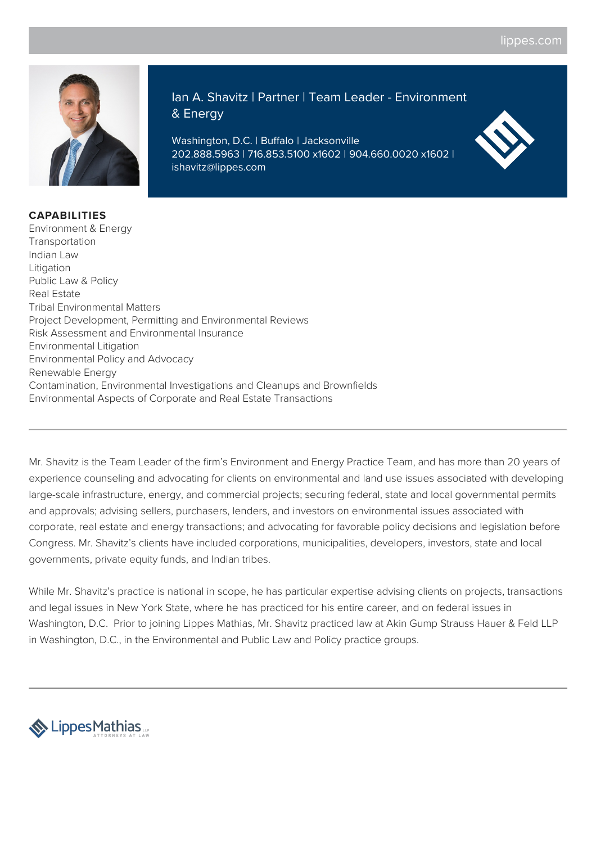

**CAPABILITIES**

Ian A. Shavitz | Partner | Team Leader - Environment & Energy

Washington, D.C. | Buffalo | Jacksonville 202.888.5963 | 716.853.5100 x1602 | 904.660.0020 x1602 | ishavitz@lippes.com



Environment & Energy Transportation Indian Law Litigation Public Law & Policy Real Estate Tribal Environmental Matters Project Development, Permitting and Environmental Reviews Risk Assessment and Environmental Insurance Environmental Litigation Environmental Policy and Advocacy Renewable Energy Contamination, Environmental Investigations and Cleanups and Brownfields Environmental Aspects of Corporate and Real Estate Transactions

Mr. Shavitz is the Team Leader of the firm's Environment and Energy Practice Team, and has more than 20 years of experience counseling and advocating for clients on environmental and land use issues associated with developing large-scale infrastructure, energy, and commercial projects; securing federal, state and local governmental permits and approvals; advising sellers, purchasers, lenders, and investors on environmental issues associated with corporate, real estate and energy transactions; and advocating for favorable policy decisions and legislation before Congress. Mr. Shavitz's clients have included corporations, municipalities, developers, investors, state and local governments, private equity funds, and Indian tribes.

While Mr. Shavitz's practice is national in scope, he has particular expertise advising clients on projects, transactions and legal issues in New York State, where he has practiced for his entire career, and on federal issues in Washington, D.C. Prior to joining Lippes Mathias, Mr. Shavitz practiced law at Akin Gump Strauss Hauer & Feld LLP in Washington, D.C., in the Environmental and Public Law and Policy practice groups.

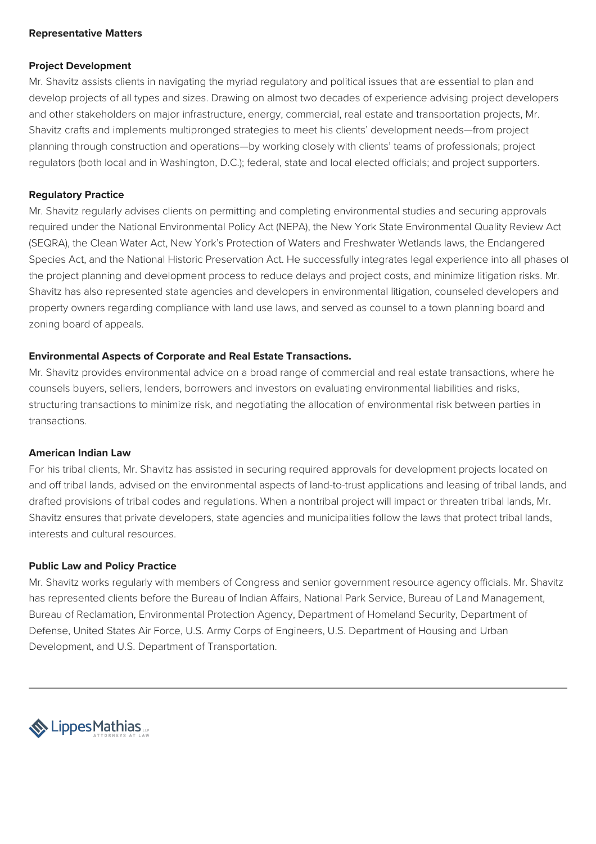#### **Representative Matters**

#### **Project Development**

Mr. Shavitz assists clients in navigating the myriad regulatory and political issues that are essential to plan and develop projects of all types and sizes. Drawing on almost two decades of experience advising project developers and other stakeholders on major infrastructure, energy, commercial, real estate and transportation projects, Mr. Shavitz crafts and implements multipronged strategies to meet his clients' development needs—from project planning through construction and operations—by working closely with clients' teams of professionals; project regulators (both local and in Washington, D.C.); federal, state and local elected officials; and project supporters.

### **Regulatory Practice**

Mr. Shavitz regularly advises clients on permitting and completing environmental studies and securing approvals required under the National Environmental Policy Act (NEPA), the New York State Environmental Quality Review Act (SEQRA), the Clean Water Act, New York's Protection of Waters and Freshwater Wetlands laws, the Endangered Species Act, and the National Historic Preservation Act. He successfully integrates legal experience into all phases of the project planning and development process to reduce delays and project costs, and minimize litigation risks. Mr. Shavitz has also represented state agencies and developers in environmental litigation, counseled developers and property owners regarding compliance with land use laws, and served as counsel to a town planning board and zoning board of appeals.

### **Environmental Aspects of Corporate and Real Estate Transactions.**

Mr. Shavitz provides environmental advice on a broad range of commercial and real estate transactions, where he counsels buyers, sellers, lenders, borrowers and investors on evaluating environmental liabilities and risks, structuring transactions to minimize risk, and negotiating the allocation of environmental risk between parties in transactions.

#### **American Indian Law**

For his tribal clients, Mr. Shavitz has assisted in securing required approvals for development projects located on and off tribal lands, advised on the environmental aspects of land-to-trust applications and leasing of tribal lands, and drafted provisions of tribal codes and regulations. When a nontribal project will impact or threaten tribal lands, Mr. Shavitz ensures that private developers, state agencies and municipalities follow the laws that protect tribal lands, interests and cultural resources.

#### **Public Law and Policy Practice**

Mr. Shavitz works regularly with members of Congress and senior government resource agency officials. Mr. Shavitz has represented clients before the Bureau of Indian Affairs, National Park Service, Bureau of Land Management, Bureau of Reclamation, Environmental Protection Agency, Department of Homeland Security, Department of Defense, United States Air Force, U.S. Army Corps of Engineers, U.S. Department of Housing and Urban Development, and U.S. Department of Transportation.

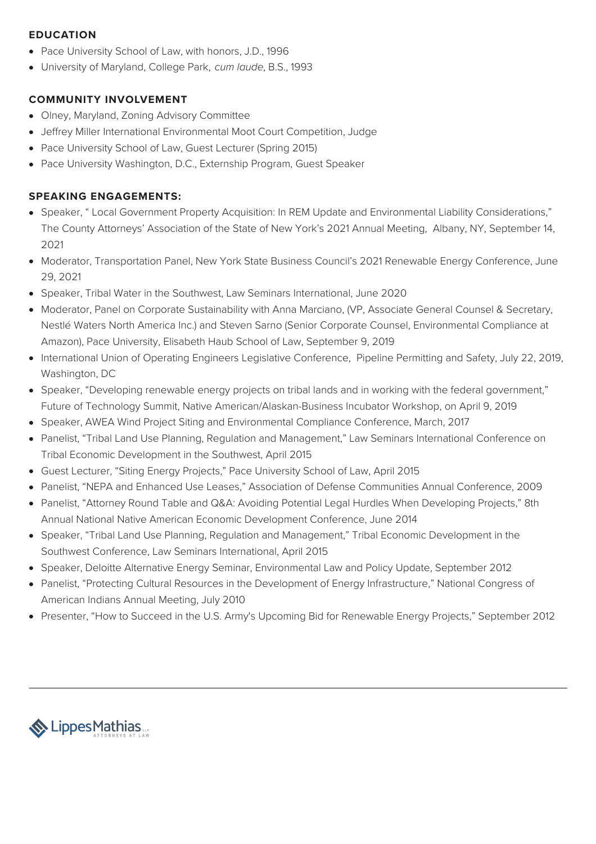# **EDUCATION**

- Pace University School of Law, with honors, J.D., 1996
- University of Maryland, College Park, cum laude, B.S., 1993

# **COMMUNITY INVOLVEMENT**

- Olney, Maryland, Zoning Advisory Committee
- Jeffrey Miller International Environmental Moot Court Competition, Judge
- Pace University School of Law, Guest Lecturer (Spring 2015)
- Pace University Washington, D.C., Externship Program, Guest Speaker

# **SPEAKING ENGAGEMENTS:**

- Speaker, " Local Government Property Acquisition: In REM Update and Environmental Liability Considerations," The County Attorneys' Association of the State of New York's 2021 Annual Meeting, Albany, NY, September 14, 2021
- Moderator, Transportation Panel, New York State Business Council's 2021 Renewable Energy Conference, June 29, 2021
- Speaker, Tribal Water in the Southwest, Law Seminars International, June 2020
- Moderator, Panel on Corporate Sustainability with Anna Marciano, (VP, Associate General Counsel & Secretary, Nestlé Waters North America Inc.) and Steven Sarno (Senior Corporate Counsel, Environmental Compliance at Amazon), Pace University, Elisabeth Haub School of Law, September 9, 2019
- International Union of Operating Engineers Legislative Conference, Pipeline Permitting and Safety, July 22, 2019, Washington, DC
- Speaker, "Developing renewable energy projects on tribal lands and in working with the federal government," Future of Technology Summit, Native American/Alaskan-Business Incubator Workshop, on April 9, 2019
- Speaker, AWEA Wind Project Siting and Environmental Compliance Conference, March, 2017
- Panelist, "Tribal Land Use Planning, Regulation and Management," Law Seminars International Conference on Tribal Economic Development in the Southwest, April 2015
- Guest Lecturer, "Siting Energy Projects," Pace University School of Law, April 2015
- Panelist, "NEPA and Enhanced Use Leases," Association of Defense Communities Annual Conference, 2009
- Panelist, "Attorney Round Table and Q&A: Avoiding Potential Legal Hurdles When Developing Projects," 8th Annual National Native American Economic Development Conference, June 2014
- Speaker, "Tribal Land Use Planning, Regulation and Management," Tribal Economic Development in the Southwest Conference, Law Seminars International, April 2015
- Speaker, Deloitte Alternative Energy Seminar, Environmental Law and Policy Update, September 2012
- Panelist, "Protecting Cultural Resources in the Development of Energy Infrastructure," National Congress of American Indians Annual Meeting, July 2010
- Presenter, "How to Succeed in the U.S. Army's Upcoming Bid for Renewable Energy Projects," September 2012